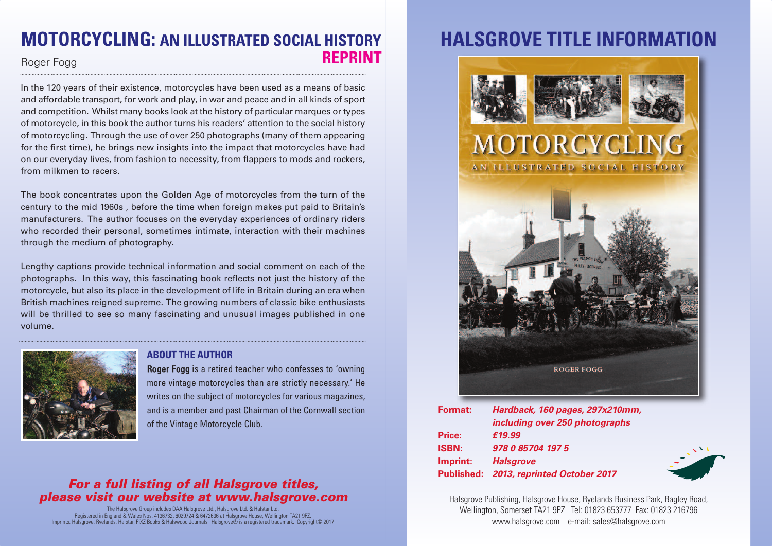## **MOTORCYCLING: AN ILLUSTRATED SOCIAL HISTORY** Roger Fogg **REPRINT**

In the 120 years of their existence, motorcycles have been used as a means of basic and affordable transport, for work and play, in war and peace and in all kinds of sport and competition. Whilst many books look at the history of particular marques or types of motorcycle, in this book the author turns his readers' attention to the social history of motorcycling. Through the use of over 250 photographs (many of them appearing for the first time), he brings new insights into the impact that motorcycles have had on our everyday lives, from fashion to necessity, from flappers to mods and rockers, from milkmen to racers.

The book concentrates upon the Golden Age of motorcycles from the turn of the century to the mid 1960s , before the time when foreign makes put paid to Britain's manufacturers. The author focuses on the everyday experiences of ordinary riders who recorded their personal, sometimes intimate, interaction with their machines through the medium of photography.

Lengthy captions provide technical information and social comment on each of the photographs. In this way, this fascinating book reflects not just the history of the motorcycle, but also its place in the development of life in Britain during an era when British machines reigned supreme. The growing numbers of classic bike enthusiasts will be thrilled to see so many fascinating and unusual images published in one volume.



#### **ABOUT THE AUTHOR**

Roger Fogg is a retired teacher who confesses to 'owning more vintage motorcycles than are strictly necessary.' He writes on the subject of motorcycles for various magazines, and is a member and past Chairman of the Cornwall section of the Vintage Motorcycle Club.

### *For a full listing of all Halsgrove titles, please visit our website at www.halsgrove.com*

The Halsgrove Group includes DAA Halsgrove Ltd., Halsgrove Ltd. & Halstar Ltd.<br>Registered in England & Wales Nos. 4 136732, 6029724 & 6472636 at Halsgrove House, Wellington TA21 9PZ.<br>Imprints: Halsgrove, Ryelands, Halstar

# **HALSGROVE TITLE INFORMAT**



| <b>Format:</b> | Hardback, 160 pages, 297x210mm,         |
|----------------|-----------------------------------------|
|                | including over 250 photographs          |
| <b>Price:</b>  | £19.99                                  |
| <b>ISBN:</b>   | 978 0 85704 197 5                       |
| Imprint:       | <b>Halsgrove</b>                        |
|                | Published: 2013, reprinted October 2017 |

Halsgrove Publishing, Halsgrove House, Ryelands Business Park, Bagley Road, Wellington, Somerset TA21 9PZ Tel: 01823 653777 Fax: 01823 216796 www.halsgrove.com e-mail: sales@halsgrove.com